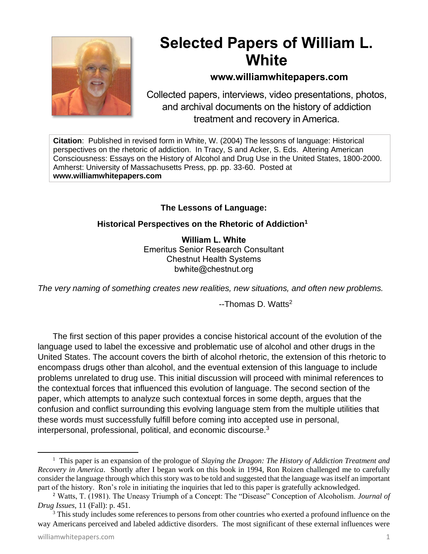

# **Selected Papers of William L. White**

## **www.williamwhitepapers.com**

Collected papers, interviews, video presentations, photos, and archival documents on the history of addiction treatment and recovery in America.

**Citation**: Published in revised form in White, W. (2004) The lessons of language: Historical perspectives on the rhetoric of addiction. In Tracy, S and Acker, S. Eds. Altering American Consciousness: Essays on the History of Alcohol and Drug Use in the United States, 1800-2000. Amherst: University of Massachusetts Press, pp. pp. 33-60. Posted at **www.williamwhitepapers.com**

## **The Lessons of Language:**

### **Historical Perspectives on the Rhetoric of Addiction<sup>1</sup>**

**William L. White** Emeritus Senior Research Consultant Chestnut Health Systems bwhite@chestnut.org

*The very naming of something creates new realities, new situations, and often new problems.*

--Thomas D. Watts<sup>2</sup>

The first section of this paper provides a concise historical account of the evolution of the language used to label the excessive and problematic use of alcohol and other drugs in the United States. The account covers the birth of alcohol rhetoric, the extension of this rhetoric to encompass drugs other than alcohol, and the eventual extension of this language to include problems unrelated to drug use. This initial discussion will proceed with minimal references to the contextual forces that influenced this evolution of language. The second section of the paper, which attempts to analyze such contextual forces in some depth, argues that the confusion and conflict surrounding this evolving language stem from the multiple utilities that these words must successfully fulfill before coming into accepted use in personal, interpersonal, professional, political, and economic discourse.<sup>3</sup>

<sup>&</sup>lt;sup>1</sup> This paper is an expansion of the prologue of *Slaying the Dragon: The History of Addiction Treatment and Recovery in America*. Shortly after I began work on this book in 1994, Ron Roizen challenged me to carefully consider the language through which this story was to be told and suggested that the language was itself an important part of the history. Ron's role in initiating the inquiries that led to this paper is gratefully acknowledged.

<sup>2</sup> Watts, T. (1981). The Uneasy Triumph of a Concept: The "Disease" Conception of Alcoholism. *Journal of Drug Issues,* 11 (Fall): p. 451.

<sup>&</sup>lt;sup>3</sup> This study includes some references to persons from other countries who exerted a profound influence on the way Americans perceived and labeled addictive disorders. The most significant of these external influences were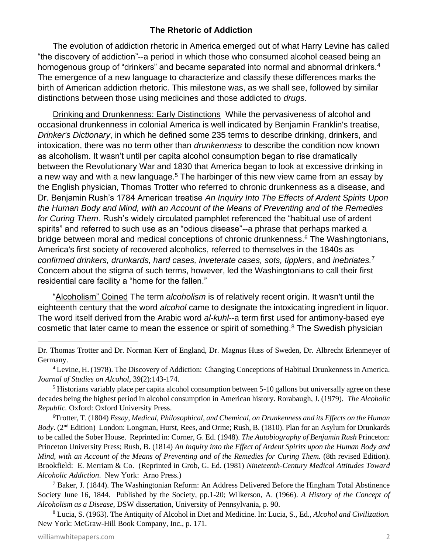#### **The Rhetoric of Addiction**

The evolution of addiction rhetoric in America emerged out of what Harry Levine has called "the discovery of addiction"--a period in which those who consumed alcohol ceased being an homogenous group of "drinkers" and became separated into normal and abnormal drinkers.<sup>4</sup> The emergence of a new language to characterize and classify these differences marks the birth of American addiction rhetoric. This milestone was, as we shall see, followed by similar distinctions between those using medicines and those addicted to *drugs*.

Drinking and Drunkenness: Early Distinctions While the pervasiveness of alcohol and occasional drunkenness in colonial America is well indicated by Benjamin Franklin's treatise, *Drinker's Dictionary*, in which he defined some 235 terms to describe drinking, drinkers, and intoxication, there was no term other than *drunkenness* to describe the condition now known as alcoholism. It wasn't until per capita alcohol consumption began to rise dramatically between the Revolutionary War and 1830 that America began to look at excessive drinking in a new way and with a new language.<sup>5</sup> The harbinger of this new view came from an essay by the English physician, Thomas Trotter who referred to chronic drunkenness as a disease, and Dr. Benjamin Rush's 1784 American treatise *An Inquiry Into The Effects of Ardent Spirits Upon the Human Body and Mind, with an Account of the Means of Preventing and of the Remedies for Curing Them*. Rush's widely circulated pamphlet referenced the "habitual use of ardent spirits" and referred to such use as an "odious disease"--a phrase that perhaps marked a bridge between moral and medical conceptions of chronic drunkenness.<sup>6</sup> The Washingtonians, America's first society of recovered alcoholics, referred to themselves in the 1840s as *confirmed drinkers, drunkards, hard cases, inveterate cases, sots, tipplers*, and *inebriates.*<sup>7</sup> Concern about the stigma of such terms, however, led the Washingtonians to call their first residential care facility a "home for the fallen."

"Alcoholism" Coined The term *alcoholism* is of relatively recent origin. It wasn't until the eighteenth century that the word *alcohol* came to designate the intoxicating ingredient in liquor. The word itself derived from the Arabic word *al-kuhl--*a term first used for antimony-based eye cosmetic that later came to mean the essence or spirit of something. $8$  The Swedish physician

Dr. Thomas Trotter and Dr. Norman Kerr of England, Dr. Magnus Huss of Sweden, Dr. Albrecht Erlenmeyer of Germany.

<sup>4</sup> Levine, H. (1978). The Discovery of Addiction: Changing Conceptions of Habitual Drunkenness in America. *Journal of Studies on Alcohol*, 39(2):143-174.

<sup>&</sup>lt;sup>5</sup> Historians variably place per capita alcohol consumption between 5-10 gallons but universally agree on these decades being the highest period in alcohol consumption in American history. Rorabaugh, J. (1979). *The Alcoholic Republic.* Oxford: Oxford University Press.

<sup>6</sup>Trotter, T. (1804) *Essay, Medical, Philosophical, and Chemical, on Drunkenness and its Effects on the Human Body*. (2nd Edition) London: Longman, Hurst, Rees, and Orme; Rush, B. (1810). Plan for an Asylum for Drunkards to be called the Sober House. Reprinted in: Corner, G. Ed. (1948). *The Autobiography of Benjamin Rush* Princeton: Princeton University Press; Rush, B. (1814) *An Inquiry into the Effect of Ardent Spirits upon the Human Body and Mind, with an Account of the Means of Preventing and of the Remedies for Curing Them.* (8th revised Edition). Brookfield: E. Merriam & Co. (Reprinted in Grob, G. Ed. (1981) *Nineteenth-Century Medical Attitudes Toward Alcoholic Addiction*. New York: Arno Press.)

<sup>7</sup> Baker, J. (1844). The Washingtonian Reform: An Address Delivered Before the Hingham Total Abstinence Society June 16, 1844. Published by the Society, pp.1-20; Wilkerson, A. (1966). *A History of the Concept of Alcoholism as a Disease*, DSW dissertation, University of Pennsylvania, p. 90.

<sup>8</sup> Lucia, S. (1963). The Antiquity of Alcohol in Diet and Medicine. In: Lucia, S., Ed., *Alcohol and Civilization.*  New York: McGraw-Hill Book Company, Inc., p. 171.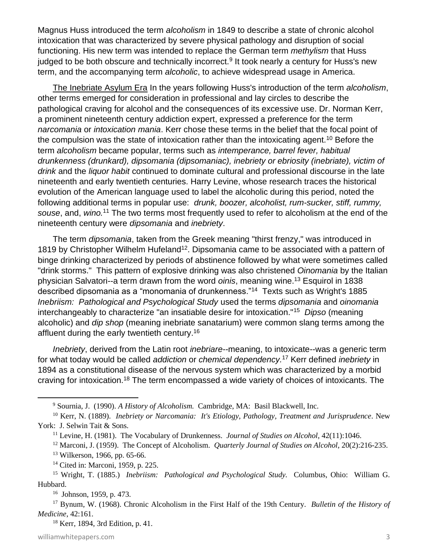Magnus Huss introduced the term *alcoholism* in 1849 to describe a state of chronic alcohol intoxication that was characterized by severe physical pathology and disruption of social functioning. His new term was intended to replace the German term *methylism* that Huss judged to be both obscure and technically incorrect.<sup>9</sup> It took nearly a century for Huss's new term, and the accompanying term *alcoholic*, to achieve widespread usage in America.

The Inebriate Asylum Era In the years following Huss's introduction of the term *alcoholism*, other terms emerged for consideration in professional and lay circles to describe the pathological craving for alcohol and the consequences of its excessive use. Dr. Norman Kerr, a prominent nineteenth century addiction expert, expressed a preference for the term *narcomania* or *intoxication mania*. Kerr chose these terms in the belief that the focal point of the compulsion was the state of intoxication rather than the intoxicating agent.<sup>10</sup> Before the term *alcoholism* became popular, terms such as *intemperance, barrel fever, habitual drunkenness (drunkard), dipsomania (dipsomaniac), inebriety or ebriosity (inebriate), victim of drink* and the *liquor habit* continued to dominate cultural and professional discourse in the late nineteenth and early twentieth centuries. Harry Levine, whose research traces the historical evolution of the American language used to label the alcoholic during this period, noted the following additional terms in popular use: *drunk, boozer, alcoholist, rum-sucker, stiff, rummy, souse*, and, *wino.*<sup>11</sup> The two terms most frequently used to refer to alcoholism at the end of the nineteenth century were *dipsomania* and *inebriety*.

The term *dipsomania*, taken from the Greek meaning "thirst frenzy," was introduced in 1819 by Christopher Wilhelm Hufeland<sup>12</sup>. Dipsomania came to be associated with a pattern of binge drinking characterized by periods of abstinence followed by what were sometimes called "drink storms." This pattern of explosive drinking was also christened *Oinomania* by the Italian physician Salvatori--a term drawn from the word *oinis*, meaning wine.<sup>13</sup> Esquirol in 1838 described dipsomania as a "monomania of drunkenness."<sup>14</sup> Texts such as Wright's 1885 *Inebriism: Pathological and Psychological Study* used the terms *dipsomania* and *oinomania* interchangeably to characterize "an insatiable desire for intoxication."<sup>15</sup> *Dipso* (meaning alcoholic) and *dip shop* (meaning inebriate sanatarium) were common slang terms among the affluent during the early twentieth century.<sup>16</sup>

*Inebriety*, derived from the Latin root *inebriare--*meaning, to intoxicate--was a generic term for what today would be called *addiction* or *chemical dependency.*<sup>17</sup> Kerr defined *inebriety* in 1894 as a constitutional disease of the nervous system which was characterized by a morbid craving for intoxication.<sup>18</sup> The term encompassed a wide variety of choices of intoxicants. The

<sup>9</sup> Sournia, J. (1990). *A History of Alcoholism.* Cambridge, MA: Basil Blackwell, Inc.

<sup>10</sup> Kerr, N. (1889). *Inebriety or Narcomania: It's Etiology, Pathology, Treatment and Jurisprudence*. New York: J. Selwin Tait & Sons.

<sup>11</sup> Levine, H. (1981). The Vocabulary of Drunkenness. *Journal of Studies on Alcohol*, 42(11):1046.

<sup>12</sup> Marconi, J. (1959). The Concept of Alcoholism. *Quarterly Journal of Studies on Alcohol*, 20(2):216-235.

<sup>13</sup> Wilkerson, 1966, pp. 65-66.

<sup>&</sup>lt;sup>14</sup> Cited in: Marconi, 1959, p. 225.

<sup>15</sup> Wright, T. (1885.) *Inebriism: Pathological and Psychological Study.* Columbus, Ohio: William G. Hubbard.

<sup>16</sup> Johnson, 1959, p. 473.

<sup>17</sup> Bynum, W. (1968). Chronic Alcoholism in the First Half of the 19th Century. *Bulletin of the History of Medicine*, 42:161.

<sup>18</sup> Kerr, 1894, 3rd Edition, p. 41.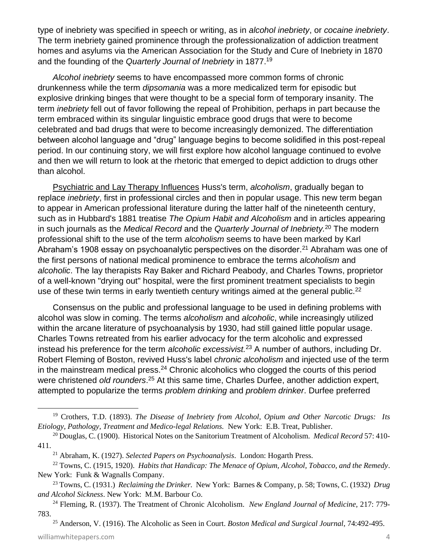type of inebriety was specified in speech or writing, as in *alcohol inebriety*, or *cocaine inebriety*. The term inebriety gained prominence through the professionalization of addiction treatment homes and asylums via the American Association for the Study and Cure of Inebriety in 1870 and the founding of the *Quarterly Journal of Inebriety* in 1877.<sup>19</sup>

*Alcohol inebriety* seems to have encompassed more common forms of chronic drunkenness while the term *dipsomania* was a more medicalized term for episodic but explosive drinking binges that were thought to be a special form of temporary insanity. The term *inebriety* fell out of favor following the repeal of Prohibition, perhaps in part because the term embraced within its singular linguistic embrace good drugs that were to become celebrated and bad drugs that were to become increasingly demonized. The differentiation between alcohol language and "drug" language begins to become solidified in this post-repeal period. In our continuing story, we will first explore how alcohol language continued to evolve and then we will return to look at the rhetoric that emerged to depict addiction to drugs other than alcohol.

Psychiatric and Lay Therapy Influences Huss's term, *alcoholism*, gradually began to replace *inebriety*, first in professional circles and then in popular usage. This new term began to appear in American professional literature during the latter half of the nineteenth century, such as in Hubbard's 1881 treatise *The Opium Habit and Alcoholism* and in articles appearing in such journals as the *Medical Record* and the *Quarterly Journal of Inebriety.*<sup>20</sup> The modern professional shift to the use of the term *alcoholism* seems to have been marked by Karl Abraham's 1908 essay on psychoanalytic perspectives on the disorder.<sup>21</sup> Abraham was one of the first persons of national medical prominence to embrace the terms *alcoholism* and *alcoholic*. The lay therapists Ray Baker and Richard Peabody, and Charles Towns, proprietor of a well-known "drying out" hospital, were the first prominent treatment specialists to begin use of these twin terms in early twentieth century writings aimed at the general public.<sup>22</sup>

Consensus on the public and professional language to be used in defining problems with alcohol was slow in coming. The terms *alcoholism* and *alcoholic*, while increasingly utilized within the arcane literature of psychoanalysis by 1930, had still gained little popular usage. Charles Towns retreated from his earlier advocacy for the term alcoholic and expressed instead his preference for the term *alcoholic excessivist.*<sup>23</sup> A number of authors, including Dr. Robert Fleming of Boston, revived Huss's label *chronic alcoholism* and injected use of the term in the mainstream medical press. $24$  Chronic alcoholics who clogged the courts of this period were christened *old rounders*. <sup>25</sup> At this same time, Charles Durfee, another addiction expert, attempted to popularize the terms *problem drinking* and *problem drinker*. Durfee preferred

<sup>19</sup> Crothers, T.D. (1893). *The Disease of Inebriety from Alcohol, Opium and Other Narcotic Drugs: Its Etiology, Pathology, Treatment and Medico-legal Relations.* New York: E.B. Treat, Publisher.

<sup>20</sup> Douglas, C. (1900). Historical Notes on the Sanitorium Treatment of Alcoholism. *Medical Record* 57: 410- 411.

<sup>21</sup> Abraham, K. (1927). *Selected Papers on Psychoanalysis*. London: Hogarth Press.

<sup>22</sup> Towns, C. (1915, 1920). *Habits that Handicap: The Menace of Opium, Alcohol, Tobacco, and the Remedy*. New York: Funk & Wagnalls Company.

<sup>23</sup> Towns, C. (1931.) *Reclaiming the Drinker.* New York: Barnes & Company, p. 58; Towns, C. (1932) *Drug and Alcohol Sickness*. New York: M.M. Barbour Co.

<sup>24</sup> Fleming, R. (1937). The Treatment of Chronic Alcoholism. *New England Journal of Medicine,* 217: 779- 783.

<sup>25</sup> Anderson, V. (1916). The Alcoholic as Seen in Court. *Boston Medical and Surgical Journal*, 74:492-495.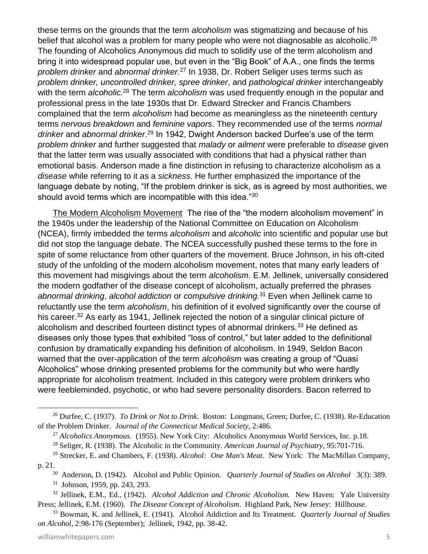these terms on the grounds that the term *alcoholism* was stigmatizing and because of his belief that alcohol was a problem for many people who were not diagnosable as alcoholic.<sup>26</sup> The founding of Alcoholics Anonymous did much to solidify use of the term alcoholism and bring it into widespread popular use, but even in the "Big Book" of A.A., one finds the terms *problem drinker* and *abnormal drinker.*<sup>27</sup> In 1938, Dr. Robert Seliger uses terms such as *problem drinker, uncontrolled drinker, spree drinker*, and *pathological drinker* interchangeably with the term *alcoholic.*<sup>28</sup> The term *alcoholism* was used frequently enough in the popular and professional press in the late 1930s that Dr. Edward Strecker and Francis Chambers complained that the term *alcoholism* had become as meaningless as the nineteenth century terms *nervous breakdown* and *feminine vapors*. They recommended use of the terms *normal drinker* and *abnormal drinker*. <sup>29</sup> In 1942, Dwight Anderson backed Durfee's use of the term *problem drinker* and further suggested that *malady* or *ailment* were preferable to *disease* given that the latter term was usually associated with conditions that had a physical rather than emotional basis. Anderson made a fine distinction in refusing to characterize alcoholism as a *disease* while referring to it as a *sickness*. He further emphasized the importance of the language debate by noting, "If the problem drinker is sick, as is agreed by most authorities, we should avoid terms which are incompatible with this idea."<sup>30</sup>

The Modern Alcoholism Movement The rise of the "the modern alcoholism movement" in the 1940s under the leadership of the National Committee on Education on Alcoholism (NCEA), firmly imbedded the terms *alcoholism* and *alcoholic* into scientific and popular use but did not stop the language debate. The NCEA successfully pushed these terms to the fore in spite of some reluctance from other quarters of the movement. Bruce Johnson, in his oft-cited study of the unfolding of the modern alcoholism movement, notes that many early leaders of this movement had misgivings about the term *alcoholism*. E.M. Jellinek, universally considered the modern godfather of the disease concept of alcoholism, actually preferred the phrases *abnormal drinking*, *alcohol addiction* or *compulsive drinking.*<sup>31</sup> Even when Jellinek came to reluctantly use the term *alcoholism*, his definition of it evolved significantly over the course of his career.<sup>32</sup> As early as 1941, Jellinek rejected the notion of a singular clinical picture of alcoholism and described fourteen distinct types of abnormal drinkers.<sup>33</sup> He defined as diseases only those types that exhibited "loss of control," but later added to the definitional confusion by dramatically expanding his definition of alcoholism. In 1949, Seldon Bacon warned that the over-application of the term *alcoholism* was creating a group of "Quasi Alcoholics" whose drinking presented problems for the community but who were hardly appropriate for alcoholism treatment. Included in this category were problem drinkers who were feebleminded, psychotic, or who had severe personality disorders. Bacon referred to

<sup>26</sup> Durfee, C. (1937). *To Drink or Not to Drink*. Boston: Longmans, Green; Durfee, C. (1938). Re-Education of the Problem Drinker. *Journal of the Connecticut Medical Society,* 2:486.

<sup>27</sup> *Alcoholics Anonymous*. (1955). New York City: Alcoholics Anonymous World Services, Inc. p.18.

<sup>28</sup> Seliger, R. (1938). The Alcoholic in the Community. *American Journal of Psychiatry,* 95:701-716.

<sup>29</sup> Strecker, E. and Chambers, F. (1938). *Alcohol: One Man's Meat*. New York: The MacMillan Company, p. 21.

<sup>30</sup> Anderson, D. (1942). Alcohol and Public Opinion. *Quarterly Journal of Studies on Alcohol* 3(3): 389. 31 Johnson, 1959, pp. 243, 293.

<sup>32</sup> Jellinek, E.M., Ed., (1942). *Alcohol Addiction and Chronic Alcoholism.* New Haven: Yale University Press; Jellinek, E.M. (1960). *The Disease Concept of Alcoholism*. Highland Park, New Jersey: Hillhouse.

<sup>33</sup> Bowman, K. and Jellinek, E. (1941). Alcohol Addiction and Its Treatment. *Quarterly Journal of Studies on Alcohol,* 2:98-176 (September); Jellinek, 1942, pp. 38-42.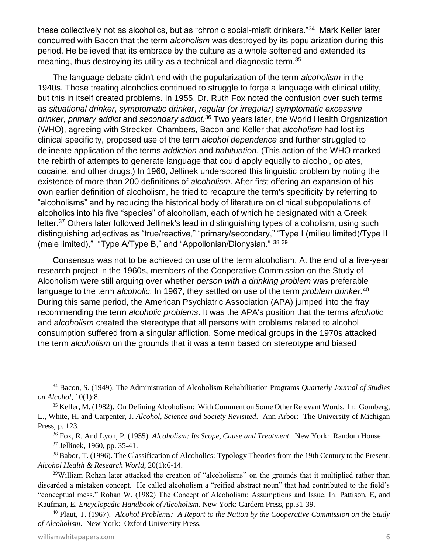these collectively not as alcoholics, but as "chronic social-misfit drinkers."<sup>34</sup> Mark Keller later concurred with Bacon that the term *alcoholism* was destroyed by its popularization during this period. He believed that its embrace by the culture as a whole softened and extended its meaning, thus destroying its utility as a technical and diagnostic term.<sup>35</sup>

The language debate didn't end with the popularization of the term *alcoholism* in the 1940s. Those treating alcoholics continued to struggle to forge a language with clinical utility, but this in itself created problems. In 1955, Dr. Ruth Fox noted the confusion over such terms as *situational drinker*, *symptomatic drinker*, *regular (or irregular) symptomatic excessive drinker*, *primary addict* and *secondary addict.*<sup>36</sup> Two years later, the World Health Organization (WHO), agreeing with Strecker, Chambers, Bacon and Keller that *alcoholism* had lost its clinical specificity, proposed use of the term *alcohol dependence* and further struggled to delineate application of the terms *addiction* and *habituation*. (This action of the WHO marked the rebirth of attempts to generate language that could apply equally to alcohol, opiates, cocaine, and other drugs.) In 1960, Jellinek underscored this linguistic problem by noting the existence of more than 200 definitions of *alcoholism*. After first offering an expansion of his own earlier definition of alcoholism, he tried to recapture the term's specificity by referring to "alcoholisms" and by reducing the historical body of literature on clinical subpopulations of alcoholics into his five "species" of alcoholism, each of which he designated with a Greek letter.<sup>37</sup> Others later followed Jellinek's lead in distinguishing types of alcoholism, using such distinguishing adjectives as "true/reactive," "primary/secondary," "Type I (milieu limited)/Type II (male limited)," "Type A/Type B," and "Appollonian/Dionysian." <sup>38</sup> <sup>39</sup>

Consensus was not to be achieved on use of the term alcoholism. At the end of a five-year research project in the 1960s, members of the Cooperative Commission on the Study of Alcoholism were still arguing over whether *person with a drinking problem* was preferable language to the term *alcoholic*. In 1967, they settled on use of the term *problem drinker.*<sup>40</sup> During this same period, the American Psychiatric Association (APA) jumped into the fray recommending the term *alcoholic problems*. It was the APA's position that the terms *alcoholic* and *alcoholism* created the stereotype that all persons with problems related to alcohol consumption suffered from a singular affliction. Some medical groups in the 1970s attacked the term *alcoholism* on the grounds that it was a term based on stereotype and biased

<sup>34</sup> Bacon, S. (1949). The Administration of Alcoholism Rehabilitation Programs *Quarterly Journal of Studies on Alcohol*, 10(1):8.

<sup>35</sup> Keller, M. (1982). On Defining Alcoholism: With Comment on Some Other Relevant Words. In: Gomberg, L., White, H. and Carpenter, J. *Alcohol, Science and Society Revisited*. Ann Arbor: The University of Michigan Press, p. 123.

<sup>36</sup> Fox, R. And Lyon, P. (1955). *Alcoholism: Its Scope, Cause and Treatment*. New York: Random House. <sup>37</sup> Jellinek, 1960, pp. 35-41.

<sup>&</sup>lt;sup>38</sup> Babor, T. (1996). The Classification of Alcoholics: Typology Theories from the 19th Century to the Present. *Alcohol Health & Research World*, 20(1):6-14.

<sup>&</sup>lt;sup>39</sup>William Rohan later attacked the creation of "alcoholisms" on the grounds that it multiplied rather than discarded a mistaken concept. He called alcoholism a "reified abstract noun" that had contributed to the field's "conceptual mess." Rohan W. (1982) The Concept of Alcoholism: Assumptions and Issue. In: Pattison, E, and Kaufman, E. *Encyclopedic Handbook of Alcoholism.* New York: Gardern Press, pp.31-39.

<sup>40</sup> Plaut, T. (1967). *Alcohol Problems: A Report to the Nation by the Cooperative Commission on the Study of Alcoholism*. New York: Oxford University Press.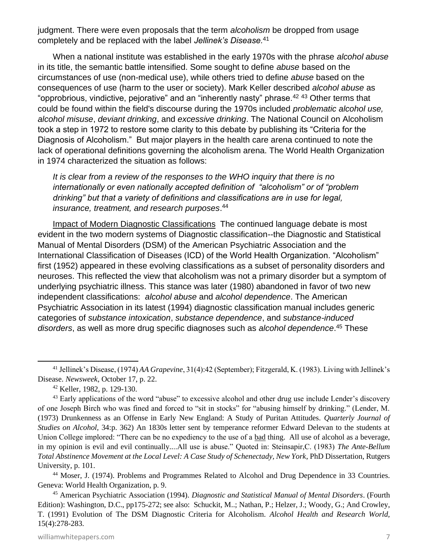judgment. There were even proposals that the term *alcoholism* be dropped from usage completely and be replaced with the label *Jellinek's Disease.*<sup>41</sup>

When a national institute was established in the early 1970s with the phrase *alcohol abuse* in its title, the semantic battle intensified. Some sought to define *abuse* based on the circumstances of use (non-medical use), while others tried to define *abuse* based on the consequences of use (harm to the user or society). Mark Keller described *alcohol abuse* as "opprobrious, vindictive, pejorative" and an "inherently nasty" phrase.  $42\frac{43}{3}$  Other terms that could be found within the field's discourse during the 1970s included *problematic alcohol use, alcohol misuse*, *deviant drinking*, and *excessive drinking*. The National Council on Alcoholism took a step in 1972 to restore some clarity to this debate by publishing its "Criteria for the Diagnosis of Alcoholism." But major players in the health care arena continued to note the lack of operational definitions governing the alcoholism arena. The World Health Organization in 1974 characterized the situation as follows:

*It is clear from a review of the responses to the WHO inquiry that there is no internationally or even nationally accepted definition of "alcoholism" or of "problem drinking" but that a variety of definitions and classifications are in use for legal, insurance, treatment, and research purposes*. 44

Impact of Modern Diagnostic Classifications The continued language debate is most evident in the two modern systems of Diagnostic classification--the Diagnostic and Statistical Manual of Mental Disorders (DSM) of the American Psychiatric Association and the International Classification of Diseases (ICD) of the World Health Organization. "Alcoholism" first (1952) appeared in these evolving classifications as a subset of personality disorders and neuroses. This reflected the view that alcoholism was not a primary disorder but a symptom of underlying psychiatric illness. This stance was later (1980) abandoned in favor of two new independent classifications: *alcohol abuse* and *alcohol dependence*. The American Psychiatric Association in its latest (1994) diagnostic classification manual includes generic categories of *substance intoxication*, *substance dependence*, and *substance-induced disorders*, as well as more drug specific diagnoses such as *alcohol dependence*. <sup>45</sup> These

<sup>44</sup> Moser, J. (1974). Problems and Programmes Related to Alcohol and Drug Dependence in 33 Countries. Geneva: World Health Organization, p. 9.

<sup>45</sup> American Psychiatric Association (1994). *Diagnostic and Statistical Manual of Mental Disorders*. (Fourth Edition): Washington, D.C., pp175-272; see also: Schuckit, M..; Nathan, P.; Helzer, J.; Woody, G.; And Crowley, T. (1991) Evolution of The DSM Diagnostic Criteria for Alcoholism. *Alcohol Health and Research World,* 15(4):278-283.

<sup>41</sup> Jellinek's Disease, (1974) *AA Grapevine*, 31(4):42 (September); Fitzgerald, K. (1983). Living with Jellinek's Disease. *Newsweek*, October 17, p. 22.

<sup>42</sup> Keller, 1982, p. 129-130.

<sup>&</sup>lt;sup>43</sup> Early applications of the word "abuse" to excessive alcohol and other drug use include Lender's discovery of one Joseph Birch who was fined and forced to "sit in stocks" for "abusing himself by drinking." (Lender, M. (1973) Drunkenness as an Offense in Early New England: A Study of Puritan Attitudes. *Quarterly Journal of Studies on Alcohol,* 34:p. 362) An 1830s letter sent by temperance reformer Edward Delevan to the students at Union College implored: "There can be no expediency to the use of a bad thing. All use of alcohol as a beverage, in my opinion is evil and evil continually....All use is abuse." Quoted in: Steinsapir,C. (1983) *The Ante-Bellum Total Abstinence Movement at the Local Level: A Case Study of Schenectady, New York*, PhD Dissertation, Rutgers University, p. 101.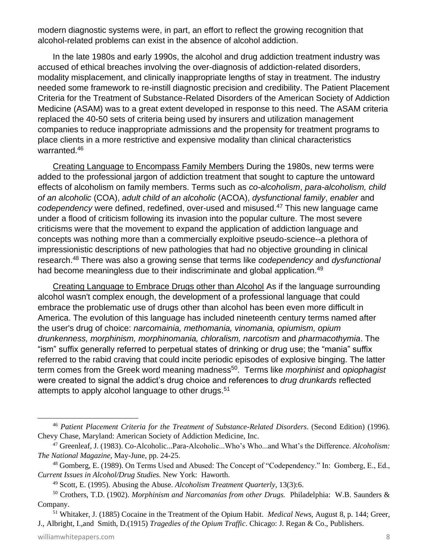modern diagnostic systems were, in part, an effort to reflect the growing recognition that alcohol-related problems can exist in the absence of alcohol addiction.

In the late 1980s and early 1990s, the alcohol and drug addiction treatment industry was accused of ethical breaches involving the over-diagnosis of addiction-related disorders, modality misplacement, and clinically inappropriate lengths of stay in treatment. The industry needed some framework to re-instill diagnostic precision and credibility. The Patient Placement Criteria for the Treatment of Substance-Related Disorders of the American Society of Addiction Medicine (ASAM) was to a great extent developed in response to this need. The ASAM criteria replaced the 40-50 sets of criteria being used by insurers and utilization management companies to reduce inappropriate admissions and the propensity for treatment programs to place clients in a more restrictive and expensive modality than clinical characteristics warranted.<sup>46</sup>

Creating Language to Encompass Family Members During the 1980s, new terms were added to the professional jargon of addiction treatment that sought to capture the untoward effects of alcoholism on family members. Terms such as *co-alcoholism*, *para-alcoholism, child of an alcoholic* (COA), *adult child of an alcoholic* (ACOA), *dysfunctional family*, *enabler* and *codependency* were defined, redefined, over-used and misused.<sup>47</sup> This new language came under a flood of criticism following its invasion into the popular culture. The most severe criticisms were that the movement to expand the application of addiction language and concepts was nothing more than a commercially exploitive pseudo-science--a plethora of impressionistic descriptions of new pathologies that had no objective grounding in clinical research.<sup>48</sup> There was also a growing sense that terms like *codependency* and *dysfunctional* had become meaningless due to their indiscriminate and global application.<sup>49</sup>

Creating Language to Embrace Drugs other than Alcohol As if the language surrounding alcohol wasn't complex enough, the development of a professional language that could embrace the problematic use of drugs other than alcohol has been even more difficult in America. The evolution of this language has included nineteenth century terms named after the user's drug of choice: *narcomainia, methomania, vinomania, opiumism, opium drunkenness, morphinism, morphinomania, chloralism, narcotism* and *pharmacothymia*. The "ism" suffix generally referred to perpetual states of drinking or drug use; the "mania" suffix referred to the rabid craving that could incite periodic episodes of explosive binging. The latter term comes from the Greek word meaning madness<sup>50</sup>. Terms like *morphinist* and *opiophagist* were created to signal the addict's drug choice and references to *drug drunkards* reflected attempts to apply alcohol language to other drugs.<sup>51</sup>

<sup>46</sup> *Patient Placement Criteria for the Treatment of Substance-Related Disorders*. (Second Edition) (1996). Chevy Chase, Maryland: American Society of Addiction Medicine, Inc.

<sup>47</sup> Greenleaf, J. (1983). Co-Alcoholic...Para-Alcoholic...Who's Who...and What's the Difference. *Alcoholism: The National Magazine,* May-June, pp. 24-25.

<sup>48</sup> Gomberg, E. (1989). On Terms Used and Abused: The Concept of "Codependency." In: Gomberg, E., Ed., *Current Issues in Alcohol/Drug Studies.* New York: Haworth.

<sup>49</sup> Scott, E. (1995). Abusing the Abuse. *Alcoholism Treatment Quarterly,* 13(3):6.

<sup>50</sup> Crothers, T.D. (1902). *Morphinism and Narcomanias from other Drugs.* Philadelphia: W.B. Saunders & Company.

<sup>51</sup> Whitaker, J. (1885) Cocaine in the Treatment of the Opium Habit. *Medical News*, August 8, p. 144; Greer, J., Albright, I.,and Smith, D.(1915) *Tragedies of the Opium Traffic*. Chicago: J. Regan & Co., Publishers.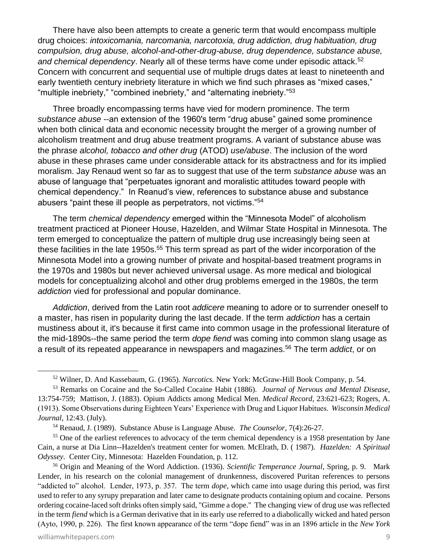There have also been attempts to create a generic term that would encompass multiple drug choices: *intoxicomania, narcomania, narcotoxia, drug addiction, drug habituation, drug compulsion, drug abuse, alcohol-and-other-drug-abuse, drug dependence, substance abuse,*  and chemical dependency. Nearly all of these terms have come under episodic attack.<sup>52</sup> Concern with concurrent and sequential use of multiple drugs dates at least to nineteenth and early twentieth century inebriety literature in which we find such phrases as "mixed cases," "multiple inebriety," "combined inebriety," and "alternating inebriety."<sup>53</sup>

Three broadly encompassing terms have vied for modern prominence. The term *substance abuse* --an extension of the 1960's term "drug abuse" gained some prominence when both clinical data and economic necessity brought the merger of a growing number of alcoholism treatment and drug abuse treatment programs. A variant of substance abuse was the phrase *alcohol, tobacco and other drug* (ATOD) *use/abuse*. The inclusion of the word abuse in these phrases came under considerable attack for its abstractness and for its implied moralism. Jay Renaud went so far as to suggest that use of the term *substance abuse* was an abuse of language that "perpetuates ignorant and moralistic attitudes toward people with chemical dependency." In Reanud's view, references to substance abuse and substance abusers "paint these ill people as perpetrators, not victims."<sup>54</sup>

The term *chemical dependency* emerged within the "Minnesota Model" of alcoholism treatment practiced at Pioneer House, Hazelden, and Wilmar State Hospital in Minnesota. The term emerged to conceptualize the pattern of multiple drug use increasingly being seen at these facilities in the late 1950s.<sup>55</sup> This term spread as part of the wider incorporation of the Minnesota Model into a growing number of private and hospital-based treatment programs in the 1970s and 1980s but never achieved universal usage. As more medical and biological models for conceptualizing alcohol and other drug problems emerged in the 1980s, the term *addiction* vied for professional and popular dominance.

*Addiction*, derived from the Latin root *addicere* meaning to adore or to surrender oneself to a master, has risen in popularity during the last decade. If the term *addiction* has a certain mustiness about it, it's because it first came into common usage in the professional literature of the mid-1890s--the same period the term *dope fiend* was coming into common slang usage as a result of its repeated appearance in newspapers and magazines.<sup>56</sup> The term *addict*, or on

<sup>52</sup> Wilner, D. And Kassebaum, G. (1965). *Narcotics.* New York: McGraw-Hill Book Company, p. 54.

<sup>53</sup> Remarks on Cocaine and the So-Called Cocaine Habit (1886). *Journal of Nervous and Mental Disease*, 13:754-759; Mattison, J. (1883). Opium Addicts among Medical Men. *Medical Record*, 23:621-623; Rogers, A. (1913). Some Observations during Eighteen Years' Experience with Drug and Liquor Habitues. *Wisconsin Medical Journal*, 12:43. (July).

<sup>54</sup> Renaud, J. (1989). Substance Abuse is Language Abuse. *The Counselor,* 7(4):26-27.

<sup>&</sup>lt;sup>55</sup> One of the earliest references to advocacy of the term chemical dependency is a 1958 presentation by Jane Cain, a nurse at Dia Linn--Hazelden's treatment center for women. McElrath, D. ( 1987). *Hazelden: A Spiritual Odyssey.* Center City, Minnesota: Hazelden Foundation, p. 112.

<sup>56</sup> Origin and Meaning of the Word Addiction. (1936). *Scientific Temperance Journal*, Spring, p. 9. Mark Lender, in his research on the colonial management of drunkenness, discovered Puritan references to persons "addicted to" alcohol. Lender, 1973, p. 357. The term *dope*, which came into usage during this period, was first used to refer to any syrupy preparation and later came to designate products containing opium and cocaine. Persons ordering cocaine-laced soft drinks often simply said, "Gimme a dope." The changing view of drug use was reflected in the term *fiend* which is a German derivative that in its early use referred to a diabolically wicked and hated person (Ayto, 1990, p. 226). The first known appearance of the term "dope fiend" was in an 1896 article in the *New York*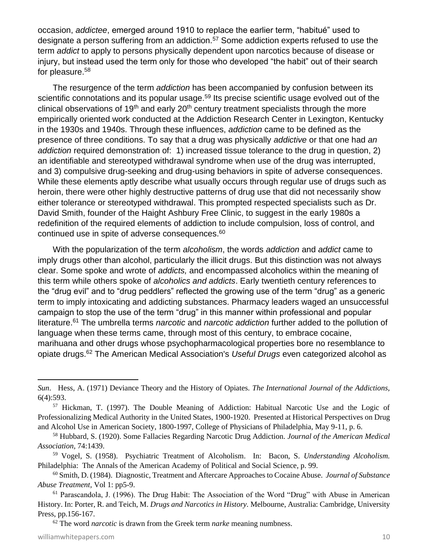occasion, *addictee*, emerged around 1910 to replace the earlier term, "habitué" used to designate a person suffering from an addiction.<sup>57</sup> Some addiction experts refused to use the term *addict* to apply to persons physically dependent upon narcotics because of disease or injury, but instead used the term only for those who developed "the habit" out of their search for pleasure.<sup>58</sup>

The resurgence of the term *addiction* has been accompanied by confusion between its scientific connotations and its popular usage.<sup>59</sup> Its precise scientific usage evolved out of the clinical observations of 19<sup>th</sup> and early  $20<sup>th</sup>$  century treatment specialists through the more empirically oriented work conducted at the Addiction Research Center in Lexington, Kentucky in the 1930s and 1940s. Through these influences, *addiction* came to be defined as the presence of three conditions. To say that a drug was physically *addictive* or that one had *an addiction* required demonstration of: 1) increased tissue tolerance to the drug in question, 2) an identifiable and stereotyped withdrawal syndrome when use of the drug was interrupted, and 3) compulsive drug-seeking and drug-using behaviors in spite of adverse consequences. While these elements aptly describe what usually occurs through regular use of drugs such as heroin, there were other highly destructive patterns of drug use that did not necessarily show either tolerance or stereotyped withdrawal. This prompted respected specialists such as Dr. David Smith, founder of the Haight Ashbury Free Clinic, to suggest in the early 1980s a redefinition of the required elements of addiction to include compulsion, loss of control, and continued use in spite of adverse consequences.<sup>60</sup>

With the popularization of the term *alcoholism*, the words *addiction* and *addict* came to imply drugs other than alcohol, particularly the illicit drugs. But this distinction was not always clear. Some spoke and wrote of *addicts,* and encompassed alcoholics within the meaning of this term while others spoke of *alcoholics and addicts*. Early twentieth century references to the "drug evil" and to "drug peddlers" reflected the growing use of the term "drug" as a generic term to imply intoxicating and addicting substances. Pharmacy leaders waged an unsuccessful campaign to stop the use of the term "drug" in this manner within professional and popular literature.<sup>61</sup> The umbrella terms *narcotic* and *narcotic addiction* further added to the pollution of language when these terms came, through most of this century, to embrace cocaine, marihuana and other drugs whose psychopharmacological properties bore no resemblance to opiate drugs.<sup>62</sup> The American Medical Association's *Useful Drugs* even categorized alcohol as

<sup>62</sup> The word *narcotic* is drawn from the Greek term *narke* meaning numbness.

*Sun*. Hess, A. (1971) Deviance Theory and the History of Opiates. *The International Journal of the Addictions,* 6(4):593.

<sup>57</sup> Hickman, T. (1997). The Double Meaning of Addiction: Habitual Narcotic Use and the Logic of Professionalizing Medical Authority in the United States, 1900-1920. Presented at Historical Perspectives on Drug and Alcohol Use in American Society, 1800-1997, College of Physicians of Philadelphia, May 9-11, p. 6.

<sup>58</sup> Hubbard, S. (1920). Some Fallacies Regarding Narcotic Drug Addiction. *Journal of the American Medical Association,* 74:1439.

<sup>59</sup> Vogel, S. (1958). Psychiatric Treatment of Alcoholism. In: Bacon, S. *Understanding Alcoholism.* Philadelphia: The Annals of the American Academy of Political and Social Science, p. 99.

<sup>60</sup> Smith, D. (1984). Diagnostic, Treatment and Aftercare Approaches to Cocaine Abuse. *Journal of Substance Abuse Treatment,* Vol 1: pp5-9.

<sup>61</sup> Parascandola, J. (1996). The Drug Habit: The Association of the Word "Drug" with Abuse in American History. In: Porter, R. and Teich, M. *Drugs and Narcotics in History.* Melbourne, Australia: Cambridge, University Press, pp.156-167.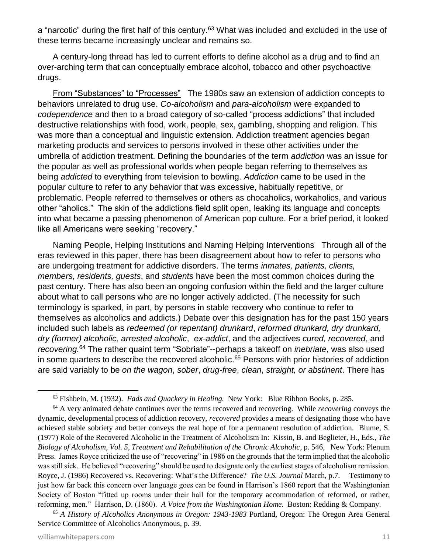a "narcotic" during the first half of this century.<sup>63</sup> What was included and excluded in the use of these terms became increasingly unclear and remains so.

A century-long thread has led to current efforts to define alcohol as a drug and to find an over-arching term that can conceptually embrace alcohol, tobacco and other psychoactive drugs.

From "Substances" to "Processes" The 1980s saw an extension of addiction concepts to behaviors unrelated to drug use. *Co-alcoholism* and *para-alcoholism* were expanded to *codependence* and then to a broad category of so-called "process addictions" that included destructive relationships with food, work, people, sex, gambling, shopping and religion. This was more than a conceptual and linguistic extension. Addiction treatment agencies began marketing products and services to persons involved in these other activities under the umbrella of addiction treatment. Defining the boundaries of the term *addiction* was an issue for the popular as well as professional worlds when people began referring to themselves as being *addicted* to everything from television to bowling. *Addiction* came to be used in the popular culture to refer to any behavior that was excessive, habitually repetitive, or problematic. People referred to themselves or others as chocaholics, workaholics, and various other "aholics." The skin of the addictions field split open, leaking its language and concepts into what became a passing phenomenon of American pop culture. For a brief period, it looked like all Americans were seeking "recovery."

Naming People, Helping Institutions and Naming Helping Interventions Through all of the eras reviewed in this paper, there has been disagreement about how to refer to persons who are undergoing treatment for addictive disorders. The terms *inmates, patients, clients, members, residents, guests*, and *students* have been the most common choices during the past century. There has also been an ongoing confusion within the field and the larger culture about what to call persons who are no longer actively addicted. (The necessity for such terminology is sparked, in part, by persons in stable recovery who continue to refer to themselves as alcoholics and addicts.) Debate over this designation has for the past 150 years included such labels as *redeemed (or repentant) drunkard*, *reformed drunkard, dry drunkard, dry (former) alcoholic*, *arrested alcoholic*, *ex-addict*, and the adjectives *cured, recovered*, and *recovering.*<sup>64</sup> The rather quaint term "Sobriate"--perhaps a takeoff on *inebriate*, was also used in some quarters to describe the recovered alcoholic.<sup>65</sup> Persons with prior histories of addiction are said variably to be *on the wagon*, *sober*, *drug-free*, *clean*, *straight, or abstinent*. There has

<sup>63</sup> Fishbein, M. (1932). *Fads and Quackery in Healing.* New York: Blue Ribbon Books, p. 285.

<sup>64</sup> A very animated debate continues over the terms recovered and recovering. While *recovering* conveys the dynamic, developmental process of addiction recovery, *recovered* provides a means of designating those who have achieved stable sobriety and better conveys the real hope of for a permanent resolution of addiction. Blume, S. (1977) Role of the Recovered Alcoholic in the Treatment of Alcoholism In: Kissin, B. and Beglieter, H., Eds., *The Biology of Alcoholism, Vol. 5, Treatment and Rehabilitation of the Chronic Alcoholic*, p. 546, New York: Plenum Press. James Royce criticized the use of "recovering" in 1986 on the grounds that the term implied that the alcoholic was still sick. He believed "recovering" should be used to designate only the earliest stages of alcoholism remission. Royce, J. (1986) Recovered vs. Recovering: What's the Difference? *The U.S. Journal* March, p.7. Testimony to just how far back this concern over language goes can be found in Harrison's 1860 report that the Washingtonian Society of Boston "fitted up rooms under their hall for the temporary accommodation of reformed, or rather, reforming, men." Harrison, D. (1860). *A Voice from the Washingtonian Home.* Boston: Redding & Company.

<sup>65</sup> *A History of Alcoholics Anonymous in Oregon: 1943-1983* Portland, Oregon: The Oregon Area General Service Committee of Alcoholics Anonymous, p. 39.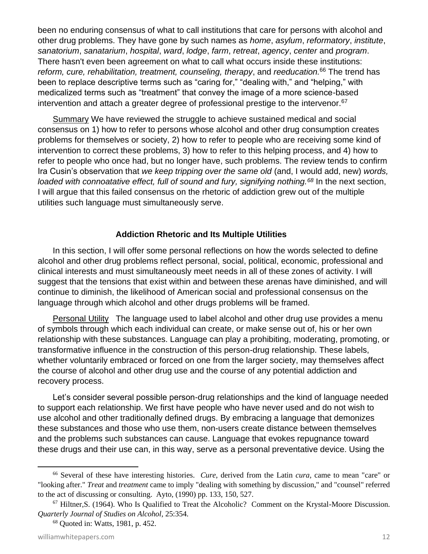been no enduring consensus of what to call institutions that care for persons with alcohol and other drug problems. They have gone by such names as *home*, *asylum*, *reformatory*, *institute*, *sanatorium*, *sanatarium*, *hospital*, *ward*, *lodge*, *farm*, *retreat*, *agency*, *center* and *program*. There hasn't even been agreement on what to call what occurs inside these institutions: *reform, cure, rehabilitation, treatment, counseling, therapy*, and *reeducation.*<sup>66</sup> The trend has been to replace descriptive terms such as "caring for," "dealing with," and "helping," with medicalized terms such as "treatment" that convey the image of a more science-based intervention and attach a greater degree of professional prestige to the intervenor.<sup>67</sup>

Summary We have reviewed the struggle to achieve sustained medical and social consensus on 1) how to refer to persons whose alcohol and other drug consumption creates problems for themselves or society, 2) how to refer to people who are receiving some kind of intervention to correct these problems, 3) how to refer to this helping process, and 4) how to refer to people who once had, but no longer have, such problems. The review tends to confirm Ira Cusin's observation that *we keep tripping over the same old* (and, I would add, new) *words, loaded with connoatative effect, full of sound and fury, signifying nothing.<sup>68</sup>* In the next section, I will argue that this failed consensus on the rhetoric of addiction grew out of the multiple utilities such language must simultaneously serve.

#### **Addiction Rhetoric and Its Multiple Utilities**

In this section, I will offer some personal reflections on how the words selected to define alcohol and other drug problems reflect personal, social, political, economic, professional and clinical interests and must simultaneously meet needs in all of these zones of activity. I will suggest that the tensions that exist within and between these arenas have diminished, and will continue to diminish, the likelihood of American social and professional consensus on the language through which alcohol and other drugs problems will be framed.

Personal Utility The language used to label alcohol and other drug use provides a menu of symbols through which each individual can create, or make sense out of, his or her own relationship with these substances. Language can play a prohibiting, moderating, promoting, or transformative influence in the construction of this person-drug relationship. These labels, whether voluntarily embraced or forced on one from the larger society, may themselves affect the course of alcohol and other drug use and the course of any potential addiction and recovery process.

Let's consider several possible person-drug relationships and the kind of language needed to support each relationship. We first have people who have never used and do not wish to use alcohol and other traditionally defined drugs. By embracing a language that demonizes these substances and those who use them, non-users create distance between themselves and the problems such substances can cause. Language that evokes repugnance toward these drugs and their use can, in this way, serve as a personal preventative device. Using the

<sup>66</sup> Several of these have interesting histories. *Cure*, derived from the Latin *cura,* came to mean "care" or "looking after." *Treat* and *treatment* came to imply "dealing with something by discussion," and "counsel" referred to the act of discussing or consulting. Ayto, (1990) pp. 133, 150, 527.

<sup>67</sup> Hiltner,S. (1964). Who Is Qualified to Treat the Alcoholic? Comment on the Krystal-Moore Discussion. *Quarterly Journal of Studies on Alcohol*, 25:354.

<sup>68</sup> Quoted in: Watts, 1981, p. 452.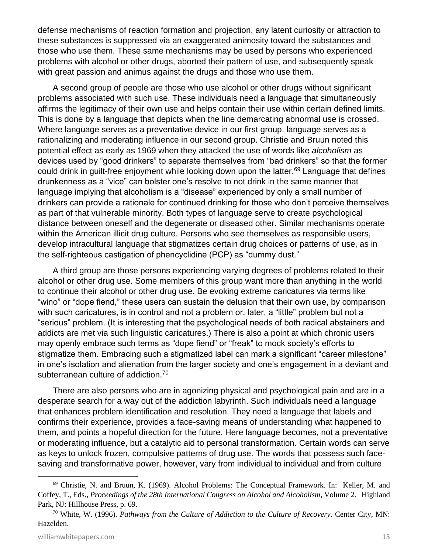defense mechanisms of reaction formation and projection, any latent curiosity or attraction to these substances is suppressed via an exaggerated animosity toward the substances and those who use them. These same mechanisms may be used by persons who experienced problems with alcohol or other drugs, aborted their pattern of use, and subsequently speak with great passion and animus against the drugs and those who use them.

A second group of people are those who use alcohol or other drugs without significant problems associated with such use. These individuals need a language that simultaneously affirms the legitimacy of their own use and helps contain their use within certain defined limits. This is done by a language that depicts when the line demarcating abnormal use is crossed. Where language serves as a preventative device in our first group, language serves as a rationalizing and moderating influence in our second group. Christie and Bruun noted this potential effect as early as 1969 when they attacked the use of words like *alcoholism* as devices used by "good drinkers" to separate themselves from "bad drinkers" so that the former could drink in guilt-free enjoyment while looking down upon the latter.<sup>69</sup> Language that defines drunkenness as a "vice" can bolster one's resolve to not drink in the same manner that language implying that alcoholism is a "disease" experienced by only a small number of drinkers can provide a rationale for continued drinking for those who don't perceive themselves as part of that vulnerable minority. Both types of language serve to create psychological distance between oneself and the degenerate or diseased other. Similar mechanisms operate within the American illicit drug culture. Persons who see themselves as responsible users, develop intracultural language that stigmatizes certain drug choices or patterns of use, as in the self-righteous castigation of phencyclidine (PCP) as "dummy dust."

A third group are those persons experiencing varying degrees of problems related to their alcohol or other drug use. Some members of this group want more than anything in the world to continue their alcohol or other drug use. Be evoking extreme caricatures via terms like "wino" or "dope fiend," these users can sustain the delusion that their own use, by comparison with such caricatures, is in control and not a problem or, later, a "little" problem but not a "serious" problem. (It is interesting that the psychological needs of both radical abstainers and addicts are met via such linguistic caricatures.) There is also a point at which chronic users may openly embrace such terms as "dope fiend" or "freak" to mock society's efforts to stigmatize them. Embracing such a stigmatized label can mark a significant "career milestone" in one's isolation and alienation from the larger society and one's engagement in a deviant and subterranean culture of addiction.<sup>70</sup>

There are also persons who are in agonizing physical and psychological pain and are in a desperate search for a way out of the addiction labyrinth. Such individuals need a language that enhances problem identification and resolution. They need a language that labels and confirms their experience, provides a face-saving means of understanding what happened to them, and points a hopeful direction for the future. Here language becomes, not a preventative or moderating influence, but a catalytic aid to personal transformation. Certain words can serve as keys to unlock frozen, compulsive patterns of drug use. The words that possess such facesaving and transformative power, however, vary from individual to individual and from culture

<sup>69</sup> Christie, N. and Bruun, K. (1969). Alcohol Problems: The Conceptual Framework. In: Keller, M. and Coffey, T., Eds., *Proceedings of the 28th International Congress on Alcohol and Alcoholism*, Volume 2. Highland Park, NJ: Hillhouse Press, p. 69.

<sup>70</sup> White, W. (1996). *Pathways from the Culture of Addiction to the Culture of Recovery*. Center City, MN: Hazelden.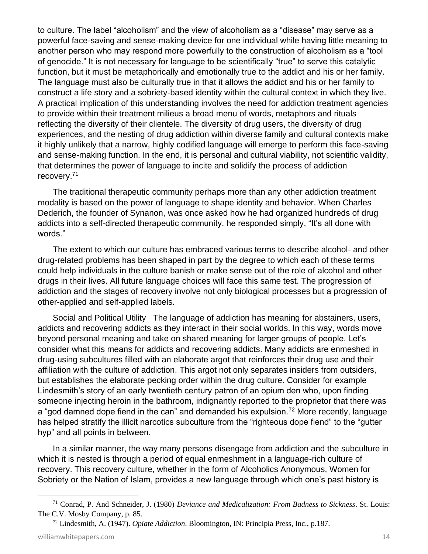to culture. The label "alcoholism" and the view of alcoholism as a "disease" may serve as a powerful face-saving and sense-making device for one individual while having little meaning to another person who may respond more powerfully to the construction of alcoholism as a "tool of genocide." It is not necessary for language to be scientifically "true" to serve this catalytic function, but it must be metaphorically and emotionally true to the addict and his or her family. The language must also be culturally true in that it allows the addict and his or her family to construct a life story and a sobriety-based identity within the cultural context in which they live. A practical implication of this understanding involves the need for addiction treatment agencies to provide within their treatment milieus a broad menu of words, metaphors and rituals reflecting the diversity of their clientele. The diversity of drug users, the diversity of drug experiences, and the nesting of drug addiction within diverse family and cultural contexts make it highly unlikely that a narrow, highly codified language will emerge to perform this face-saving and sense-making function. In the end, it is personal and cultural viability, not scientific validity, that determines the power of language to incite and solidify the process of addiction recovery.<sup>71</sup>

The traditional therapeutic community perhaps more than any other addiction treatment modality is based on the power of language to shape identity and behavior. When Charles Dederich, the founder of Synanon, was once asked how he had organized hundreds of drug addicts into a self-directed therapeutic community, he responded simply, "It's all done with words."

The extent to which our culture has embraced various terms to describe alcohol- and other drug-related problems has been shaped in part by the degree to which each of these terms could help individuals in the culture banish or make sense out of the role of alcohol and other drugs in their lives. All future language choices will face this same test. The progression of addiction and the stages of recovery involve not only biological processes but a progression of other-applied and self-applied labels.

Social and Political Utility The language of addiction has meaning for abstainers, users, addicts and recovering addicts as they interact in their social worlds. In this way, words move beyond personal meaning and take on shared meaning for larger groups of people. Let's consider what this means for addicts and recovering addicts. Many addicts are enmeshed in drug-using subcultures filled with an elaborate argot that reinforces their drug use and their affiliation with the culture of addiction. This argot not only separates insiders from outsiders, but establishes the elaborate pecking order within the drug culture. Consider for example Lindesmith's story of an early twentieth century patron of an opium den who, upon finding someone injecting heroin in the bathroom, indignantly reported to the proprietor that there was a "god damned dope fiend in the can" and demanded his expulsion.<sup>72</sup> More recently, language has helped stratify the illicit narcotics subculture from the "righteous dope fiend" to the "gutter hyp" and all points in between.

In a similar manner, the way many persons disengage from addiction and the subculture in which it is nested is through a period of equal enmeshment in a language-rich culture of recovery. This recovery culture, whether in the form of Alcoholics Anonymous, Women for Sobriety or the Nation of Islam, provides a new language through which one's past history is

<sup>71</sup> Conrad, P. And Schneider, J. (1980) *Deviance and Medicalization: From Badness to Sickness*. St. Louis: The C.V. Mosby Company, p. 85.

<sup>72</sup> Lindesmith, A. (1947). *Opiate Addiction*. Bloomington, IN: Principia Press, Inc., p.187.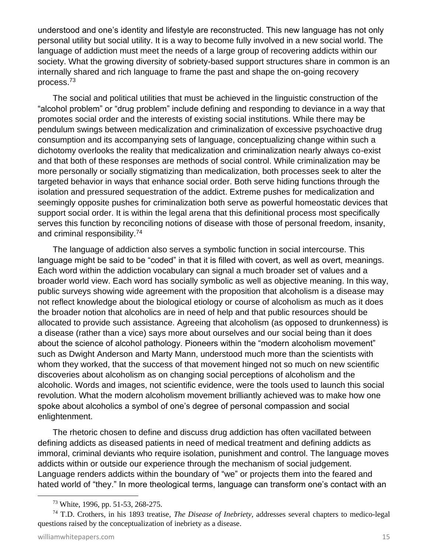understood and one's identity and lifestyle are reconstructed. This new language has not only personal utility but social utility. It is a way to become fully involved in a new social world. The language of addiction must meet the needs of a large group of recovering addicts within our society. What the growing diversity of sobriety-based support structures share in common is an internally shared and rich language to frame the past and shape the on-going recovery process.<sup>73</sup>

The social and political utilities that must be achieved in the linguistic construction of the "alcohol problem" or "drug problem" include defining and responding to deviance in a way that promotes social order and the interests of existing social institutions. While there may be pendulum swings between medicalization and criminalization of excessive psychoactive drug consumption and its accompanying sets of language, conceptualizing change within such a dichotomy overlooks the reality that medicalization and criminalization nearly always co-exist and that both of these responses are methods of social control. While criminalization may be more personally or socially stigmatizing than medicalization, both processes seek to alter the targeted behavior in ways that enhance social order. Both serve hiding functions through the isolation and pressured sequestration of the addict. Extreme pushes for medicalization and seemingly opposite pushes for criminalization both serve as powerful homeostatic devices that support social order. It is within the legal arena that this definitional process most specifically serves this function by reconciling notions of disease with those of personal freedom, insanity, and criminal responsibility.<sup>74</sup>

The language of addiction also serves a symbolic function in social intercourse. This language might be said to be "coded" in that it is filled with covert, as well as overt, meanings. Each word within the addiction vocabulary can signal a much broader set of values and a broader world view. Each word has socially symbolic as well as objective meaning. In this way, public surveys showing wide agreement with the proposition that alcoholism is a disease may not reflect knowledge about the biological etiology or course of alcoholism as much as it does the broader notion that alcoholics are in need of help and that public resources should be allocated to provide such assistance. Agreeing that alcoholism (as opposed to drunkenness) is a disease (rather than a vice) says more about ourselves and our social being than it does about the science of alcohol pathology. Pioneers within the "modern alcoholism movement" such as Dwight Anderson and Marty Mann, understood much more than the scientists with whom they worked, that the success of that movement hinged not so much on new scientific discoveries about alcoholism as on changing social perceptions of alcoholism and the alcoholic. Words and images, not scientific evidence, were the tools used to launch this social revolution. What the modern alcoholism movement brilliantly achieved was to make how one spoke about alcoholics a symbol of one's degree of personal compassion and social enlightenment.

The rhetoric chosen to define and discuss drug addiction has often vacillated between defining addicts as diseased patients in need of medical treatment and defining addicts as immoral, criminal deviants who require isolation, punishment and control. The language moves addicts within or outside our experience through the mechanism of social judgement. Language renders addicts within the boundary of "we" or projects them into the feared and hated world of "they." In more theological terms, language can transform one's contact with an

<sup>73</sup> White, 1996, pp. 51-53, 268-275.

<sup>74</sup> T.D. Crothers, in his 1893 treatise, *The Disease of Inebriety*, addresses several chapters to medico-legal questions raised by the conceptualization of inebriety as a disease.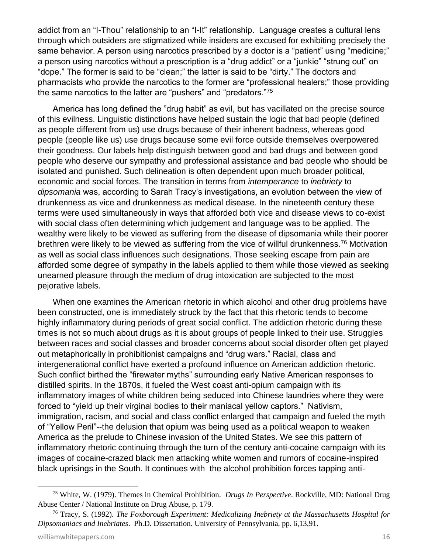addict from an "I-Thou" relationship to an "I-It" relationship. Language creates a cultural lens through which outsiders are stigmatized while insiders are excused for exhibiting precisely the same behavior. A person using narcotics prescribed by a doctor is a "patient" using "medicine;" a person using narcotics without a prescription is a "drug addict" or a "junkie" "strung out" on "dope." The former is said to be "clean;" the latter is said to be "dirty." The doctors and pharmacists who provide the narcotics to the former are "professional healers;" those providing the same narcotics to the latter are "pushers" and "predators."<sup>75</sup>

America has long defined the "drug habit" as evil, but has vacillated on the precise source of this evilness. Linguistic distinctions have helped sustain the logic that bad people (defined as people different from us) use drugs because of their inherent badness, whereas good people (people like us) use drugs because some evil force outside themselves overpowered their goodness. Our labels help distinguish between good and bad drugs and between good people who deserve our sympathy and professional assistance and bad people who should be isolated and punished. Such delineation is often dependent upon much broader political, economic and social forces. The transition in terms from *intemperance* to *inebriety* to *dipsomania* was, according to Sarah Tracy's investigations, an evolution between the view of drunkenness as vice and drunkenness as medical disease. In the nineteenth century these terms were used simultaneously in ways that afforded both vice and disease views to co-exist with social class often determining which judgement and language was to be applied. The wealthy were likely to be viewed as suffering from the disease of dipsomania while their poorer brethren were likely to be viewed as suffering from the vice of willful drunkenness.<sup>76</sup> Motivation as well as social class influences such designations. Those seeking escape from pain are afforded some degree of sympathy in the labels applied to them while those viewed as seeking unearned pleasure through the medium of drug intoxication are subjected to the most pejorative labels.

When one examines the American rhetoric in which alcohol and other drug problems have been constructed, one is immediately struck by the fact that this rhetoric tends to become highly inflammatory during periods of great social conflict. The addiction rhetoric during these times is not so much about drugs as it is about groups of people linked to their use. Struggles between races and social classes and broader concerns about social disorder often get played out metaphorically in prohibitionist campaigns and "drug wars." Racial, class and intergenerational conflict have exerted a profound influence on American addiction rhetoric. Such conflict birthed the "firewater myths" surrounding early Native American responses to distilled spirits. In the 1870s, it fueled the West coast anti-opium campaign with its inflammatory images of white children being seduced into Chinese laundries where they were forced to "yield up their virginal bodies to their maniacal yellow captors." Nativism, immigration, racism, and social and class conflict enlarged that campaign and fueled the myth of "Yellow Peril"--the delusion that opium was being used as a political weapon to weaken America as the prelude to Chinese invasion of the United States. We see this pattern of inflammatory rhetoric continuing through the turn of the century anti-cocaine campaign with its images of cocaine-crazed black men attacking white women and rumors of cocaine-inspired black uprisings in the South. It continues with the alcohol prohibition forces tapping anti-

<sup>75</sup> White, W. (1979). Themes in Chemical Prohibition. *Drugs In Perspective*. Rockville, MD: National Drug Abuse Center / National Institute on Drug Abuse, p. 179.

<sup>76</sup> Tracy, S. (1992). *The Foxborough Experiment: Medicalizing Inebriety at the Massachusetts Hospital for Dipsomaniacs and Inebriates*. Ph.D. Dissertation. University of Pennsylvania, pp. 6,13,91.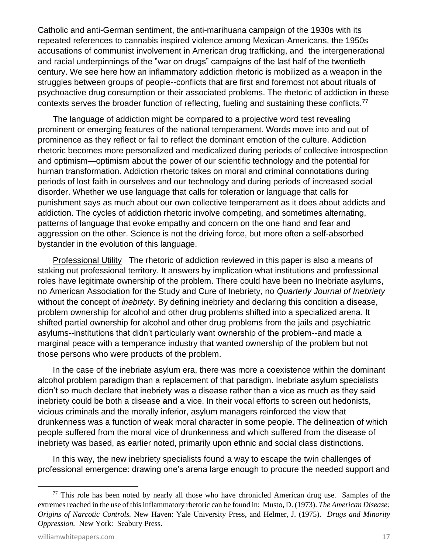Catholic and anti-German sentiment, the anti-marihuana campaign of the 1930s with its repeated references to cannabis inspired violence among Mexican-Americans, the 1950s accusations of communist involvement in American drug trafficking, and the intergenerational and racial underpinnings of the "war on drugs" campaigns of the last half of the twentieth century. We see here how an inflammatory addiction rhetoric is mobilized as a weapon in the struggles between groups of people--conflicts that are first and foremost not about rituals of psychoactive drug consumption or their associated problems. The rhetoric of addiction in these contexts serves the broader function of reflecting, fueling and sustaining these conflicts.<sup>77</sup>

The language of addiction might be compared to a projective word test revealing prominent or emerging features of the national temperament. Words move into and out of prominence as they reflect or fail to reflect the dominant emotion of the culture. Addiction rhetoric becomes more personalized and medicalized during periods of collective introspection and optimism—optimism about the power of our scientific technology and the potential for human transformation. Addiction rhetoric takes on moral and criminal connotations during periods of lost faith in ourselves and our technology and during periods of increased social disorder. Whether we use language that calls for toleration or language that calls for punishment says as much about our own collective temperament as it does about addicts and addiction. The cycles of addiction rhetoric involve competing, and sometimes alternating, patterns of language that evoke empathy and concern on the one hand and fear and aggression on the other. Science is not the driving force, but more often a self-absorbed bystander in the evolution of this language.

Professional Utility The rhetoric of addiction reviewed in this paper is also a means of staking out professional territory. It answers by implication what institutions and professional roles have legitimate ownership of the problem. There could have been no Inebriate asylums, no American Association for the Study and Cure of Inebriety, no *Quarterly Journal of Inebriety* without the concept of *inebriety*. By defining inebriety and declaring this condition a disease, problem ownership for alcohol and other drug problems shifted into a specialized arena. It shifted partial ownership for alcohol and other drug problems from the jails and psychiatric asylums--institutions that didn't particularly want ownership of the problem--and made a marginal peace with a temperance industry that wanted ownership of the problem but not those persons who were products of the problem.

In the case of the inebriate asylum era, there was more a coexistence within the dominant alcohol problem paradigm than a replacement of that paradigm. Inebriate asylum specialists didn't so much declare that inebriety was a disease rather than a vice as much as they said inebriety could be both a disease **and** a vice. In their vocal efforts to screen out hedonists, vicious criminals and the morally inferior, asylum managers reinforced the view that drunkenness was a function of weak moral character in some people. The delineation of which people suffered from the moral vice of drunkenness and which suffered from the disease of inebriety was based, as earlier noted, primarily upon ethnic and social class distinctions.

In this way, the new inebriety specialists found a way to escape the twin challenges of professional emergence: drawing one's arena large enough to procure the needed support and

 $77$  This role has been noted by nearly all those who have chronicled American drug use. Samples of the extremes reached in the use of this inflammatory rhetoric can be found in: Musto, D. (1973). *The American Disease: Origins of Narcotic Controls.* New Haven: Yale University Press, and Helmer, J. (1975). *Drugs and Minority Oppression.* New York: Seabury Press.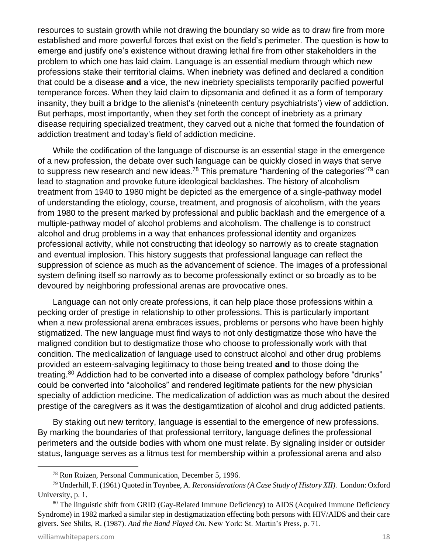resources to sustain growth while not drawing the boundary so wide as to draw fire from more established and more powerful forces that exist on the field's perimeter. The question is how to emerge and justify one's existence without drawing lethal fire from other stakeholders in the problem to which one has laid claim. Language is an essential medium through which new professions stake their territorial claims. When inebriety was defined and declared a condition that could be a disease **and** a vice, the new inebriety specialists temporarily pacified powerful temperance forces. When they laid claim to dipsomania and defined it as a form of temporary insanity, they built a bridge to the alienist's (nineteenth century psychiatrists') view of addiction. But perhaps, most importantly, when they set forth the concept of inebriety as a primary disease requiring specialized treatment, they carved out a niche that formed the foundation of addiction treatment and today's field of addiction medicine.

While the codification of the language of discourse is an essential stage in the emergence of a new profession, the debate over such language can be quickly closed in ways that serve to suppress new research and new ideas.<sup>78</sup> This premature "hardening of the categories"<sup>79</sup> can lead to stagnation and provoke future ideological backlashes. The history of alcoholism treatment from 1940 to 1980 might be depicted as the emergence of a single-pathway model of understanding the etiology, course, treatment, and prognosis of alcoholism, with the years from 1980 to the present marked by professional and public backlash and the emergence of a multiple-pathway model of alcohol problems and alcoholism. The challenge is to construct alcohol and drug problems in a way that enhances professional identity and organizes professional activity, while not constructing that ideology so narrowly as to create stagnation and eventual implosion. This history suggests that professional language can reflect the suppression of science as much as the advancement of science. The images of a professional system defining itself so narrowly as to become professionally extinct or so broadly as to be devoured by neighboring professional arenas are provocative ones.

Language can not only create professions, it can help place those professions within a pecking order of prestige in relationship to other professions. This is particularly important when a new professional arena embraces issues, problems or persons who have been highly stigmatized. The new language must find ways to not only destigmatize those who have the maligned condition but to destigmatize those who choose to professionally work with that condition. The medicalization of language used to construct alcohol and other drug problems provided an esteem-salvaging legitimacy to those being treated **and** to those doing the treating.<sup>80</sup> Addiction had to be converted into a disease of complex pathology before "drunks" could be converted into "alcoholics" and rendered legitimate patients for the new physician specialty of addiction medicine. The medicalization of addiction was as much about the desired prestige of the caregivers as it was the destigamtization of alcohol and drug addicted patients.

By staking out new territory, language is essential to the emergence of new professions. By marking the boundaries of that professional territory, language defines the professional perimeters and the outside bodies with whom one must relate. By signaling insider or outsider status, language serves as a litmus test for membership within a professional arena and also

<sup>78</sup> Ron Roizen, Personal Communication, December 5, 1996.

<sup>79</sup> Underhill, F. (1961) Quoted in Toynbee, A. *Reconsiderations (A Case Study of History XII).* London: Oxford University, p. 1.

<sup>&</sup>lt;sup>80</sup> The linguistic shift from GRID (Gay-Related Immune Deficiency) to AIDS (Acquired Immune Deficiency Syndrome) in 1982 marked a similar step in destigmatization effecting both persons with HIV/AIDS and their care givers. See Shilts, R. (1987). *And the Band Played On.* New York: St. Martin's Press, p. 71.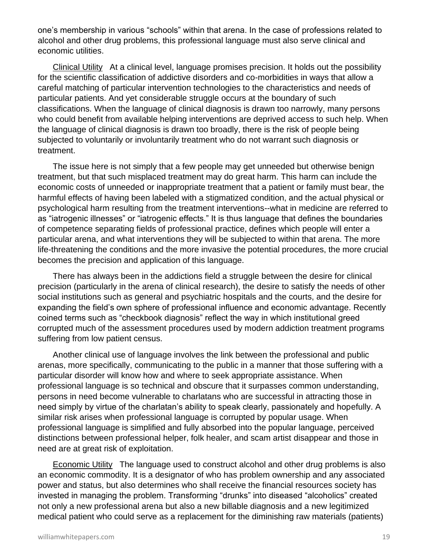one's membership in various "schools" within that arena. In the case of professions related to alcohol and other drug problems, this professional language must also serve clinical and economic utilities.

Clinical Utility At a clinical level, language promises precision. It holds out the possibility for the scientific classification of addictive disorders and co-morbidities in ways that allow a careful matching of particular intervention technologies to the characteristics and needs of particular patients. And yet considerable struggle occurs at the boundary of such classifications. When the language of clinical diagnosis is drawn too narrowly, many persons who could benefit from available helping interventions are deprived access to such help. When the language of clinical diagnosis is drawn too broadly, there is the risk of people being subjected to voluntarily or involuntarily treatment who do not warrant such diagnosis or treatment.

The issue here is not simply that a few people may get unneeded but otherwise benign treatment, but that such misplaced treatment may do great harm. This harm can include the economic costs of unneeded or inappropriate treatment that a patient or family must bear, the harmful effects of having been labeled with a stigmatized condition, and the actual physical or psychological harm resulting from the treatment interventions--what in medicine are referred to as "iatrogenic illnesses" or "iatrogenic effects." It is thus language that defines the boundaries of competence separating fields of professional practice, defines which people will enter a particular arena, and what interventions they will be subjected to within that arena. The more life-threatening the conditions and the more invasive the potential procedures, the more crucial becomes the precision and application of this language.

There has always been in the addictions field a struggle between the desire for clinical precision (particularly in the arena of clinical research), the desire to satisfy the needs of other social institutions such as general and psychiatric hospitals and the courts, and the desire for expanding the field's own sphere of professional influence and economic advantage. Recently coined terms such as "checkbook diagnosis" reflect the way in which institutional greed corrupted much of the assessment procedures used by modern addiction treatment programs suffering from low patient census.

Another clinical use of language involves the link between the professional and public arenas, more specifically, communicating to the public in a manner that those suffering with a particular disorder will know how and where to seek appropriate assistance. When professional language is so technical and obscure that it surpasses common understanding, persons in need become vulnerable to charlatans who are successful in attracting those in need simply by virtue of the charlatan's ability to speak clearly, passionately and hopefully. A similar risk arises when professional language is corrupted by popular usage. When professional language is simplified and fully absorbed into the popular language, perceived distinctions between professional helper, folk healer, and scam artist disappear and those in need are at great risk of exploitation.

Economic Utility The language used to construct alcohol and other drug problems is also an economic commodity. It is a designator of who has problem ownership and any associated power and status, but also determines who shall receive the financial resources society has invested in managing the problem. Transforming "drunks" into diseased "alcoholics" created not only a new professional arena but also a new billable diagnosis and a new legitimized medical patient who could serve as a replacement for the diminishing raw materials (patients)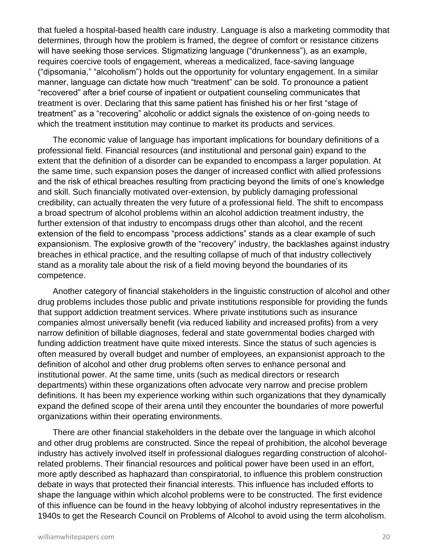that fueled a hospital-based health care industry. Language is also a marketing commodity that determines, through how the problem is framed, the degree of comfort or resistance citizens will have seeking those services. Stigmatizing language ("drunkenness"), as an example, requires coercive tools of engagement, whereas a medicalized, face-saving language ("dipsomania," "alcoholism") holds out the opportunity for voluntary engagement. In a similar manner, language can dictate how much "treatment" can be sold. To pronounce a patient "recovered" after a brief course of inpatient or outpatient counseling communicates that treatment is over. Declaring that this same patient has finished his or her first "stage of treatment" as a "recovering" alcoholic or addict signals the existence of on-going needs to which the treatment institution may continue to market its products and services.

The economic value of language has important implications for boundary definitions of a professional field. Financial resources (and institutional and personal gain) expand to the extent that the definition of a disorder can be expanded to encompass a larger population. At the same time, such expansion poses the danger of increased conflict with allied professions and the risk of ethical breaches resulting from practicing beyond the limits of one's knowledge and skill. Such financially motivated over-extension, by publicly damaging professional credibility, can actually threaten the very future of a professional field. The shift to encompass a broad spectrum of alcohol problems within an alcohol addiction treatment industry, the further extension of that industry to encompass drugs other than alcohol, and the recent extension of the field to encompass "process addictions" stands as a clear example of such expansionism. The explosive growth of the "recovery" industry, the backlashes against industry breaches in ethical practice, and the resulting collapse of much of that industry collectively stand as a morality tale about the risk of a field moving beyond the boundaries of its competence.

Another category of financial stakeholders in the linguistic construction of alcohol and other drug problems includes those public and private institutions responsible for providing the funds that support addiction treatment services. Where private institutions such as insurance companies almost universally benefit (via reduced liability and increased profits) from a very narrow definition of billable diagnoses, federal and state governmental bodies charged with funding addiction treatment have quite mixed interests. Since the status of such agencies is often measured by overall budget and number of employees, an expansionist approach to the definition of alcohol and other drug problems often serves to enhance personal and institutional power. At the same time, units (such as medical directors or research departments) within these organizations often advocate very narrow and precise problem definitions. It has been my experience working within such organizations that they dynamically expand the defined scope of their arena until they encounter the boundaries of more powerful organizations within their operating environments.

There are other financial stakeholders in the debate over the language in which alcohol and other drug problems are constructed. Since the repeal of prohibition, the alcohol beverage industry has actively involved itself in professional dialogues regarding construction of alcoholrelated problems. Their financial resources and political power have been used in an effort, more aptly described as haphazard than conspiratorial, to influence this problem construction debate in ways that protected their financial interests. This influence has included efforts to shape the language within which alcohol problems were to be constructed. The first evidence of this influence can be found in the heavy lobbying of alcohol industry representatives in the 1940s to get the Research Council on Problems of Alcohol to avoid using the term alcoholism.